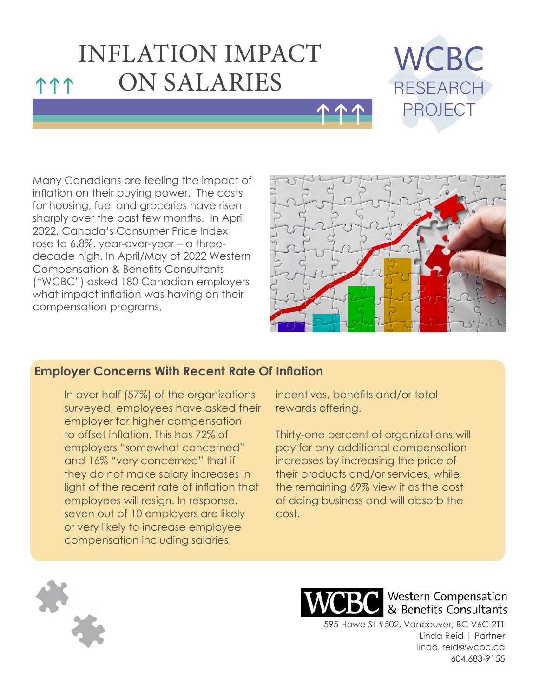# INFLATION IMPACT **111 ON SALARIES**



Many Canadians are feeling the impact of inflation on their buying power. The costs for housing, fuel and groceries have risen sharply over the past few months. In April 2022, Canada's Consumer Price Index rose to 6.8%, year-over-year – a threedecade high. In April/May of 2022 Western Compensation & Benefits Consultants ("WCBC") asked 180 Canadian employers what impact inflation was having on their compensation programs.



### **Employer Concerns With Recent Rate Of Inflation**

In over half (57%) of the organizations surveyed, employees have asked their employer for higher compensation to offset inflation. This has 72% of employers "somewhat concerned" and 16% "very concerned" that if they do not make salary increases in light of the recent rate of inflation that employees will resign. In response, seven out of 10 employers are likely or very likely to increase employee compensation including salaries,

incentives, benefits and/or total rewards offering.

hhh

Thirty-one percent of organizations will pay for any additional compensation increases by increasing the price of their products and/or services, while the remaining 69% view it as the cost of doing business and will absorb the cost.





**Western Compensation** & Benefits Consultants

595 Howe St #502, Vancouver, BC V6C 2T1 Linda Reid | Partner linda\_reid@wcbc.ca 604.683-9155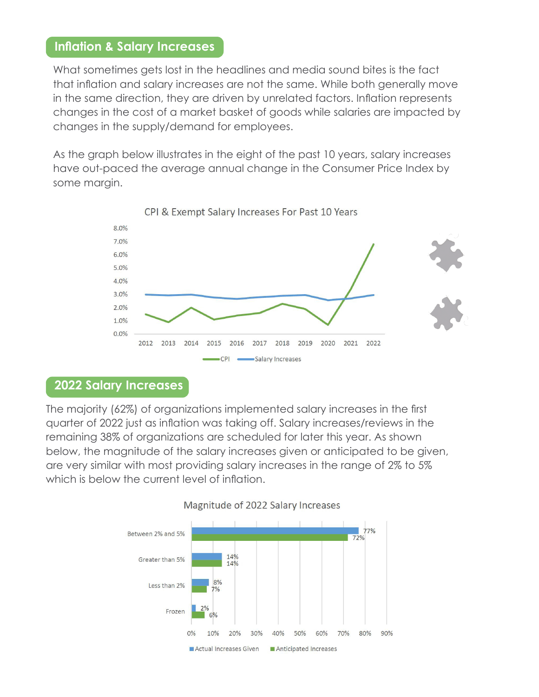#### **Inflation & Salary Increases**

What sometimes gets lost in the headlines and media sound bites is the fact that inflation and salary increases are not the same. While both generally move in the same direction, they are driven by unrelated factors. Inflation represents changes in the cost of a market basket of goods while salaries are impacted by changes in the supply/demand for employees.

As the graph below illustrates in the eight of the past 10 years, salary increases have out-paced the average annual change in the Consumer Price Index by some margin.



CPI & Exempt Salary Increases For Past 10 Years

#### **2022 Salary Increases**

The majority (62%) of organizations implemented salary increases in the first quarter of 2022 just as inflation was taking off. Salary increases/reviews in the remaining 38% of organizations are scheduled for later this year. As shown below, the magnitude of the salary increases given or anticipated to be given, are very similar with most providing salary increases in the range of 2% to 5% which is below the current level of inflation.



#### Magnitude of 2022 Salary Increases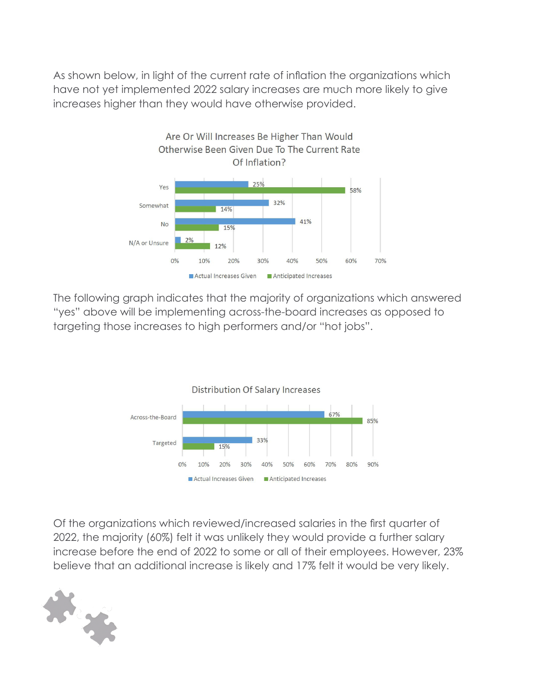As shown below, in light of the current rate of inflation the organizations which have not yet implemented 2022 salary increases are much more likely to give increases higher than they would have otherwise provided.



The following graph indicates that the majority of organizations which answered "yes" above will be implementing across-the-board increases as opposed to targeting those increases to high performers and/or "hot jobs".



Of the organizations which reviewed/increased salaries in the first quarter of 2022, the majority (60%) felt it was unlikely they would provide a further salary increase before the end of 2022 to some or all of their employees. However, 23% believe that an additional increase is likely and 17% felt it would be very likely.

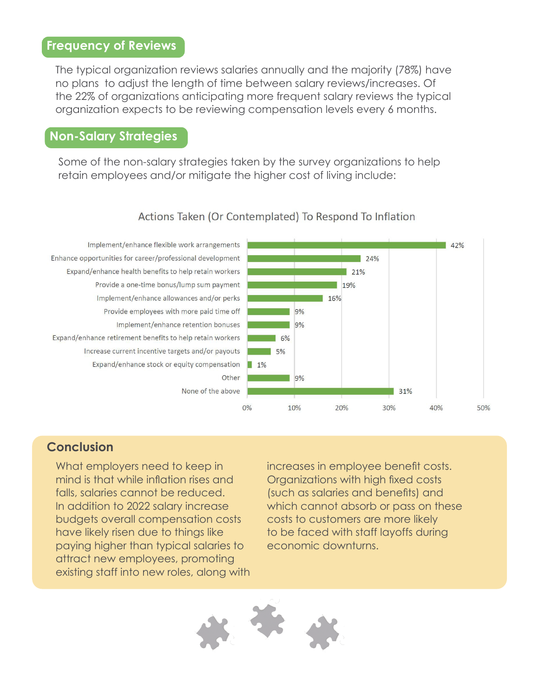#### **Frequency of Reviews**

The typical organization reviews salaries annually and the majority (78%) have no plans to adjust the length of time between salary reviews/increases. Of the 22% of organizations anticipating more frequent salary reviews the typical organization expects to be reviewing compensation levels every 6 months.

#### **Non-Salary Strategies**

Some of the non-salary strategies taken by the survey organizations to help retain employees and/or mitigate the higher cost of living include:

#### Actions Taken (Or Contemplated) To Respond To Inflation

Implement/enhance flexible work arrangements Enhance opportunities for career/professional development Expand/enhance health benefits to help retain workers Provide a one-time bonus/lump sum payment Implement/enhance allowances and/or perks Provide employees with more paid time off Implement/enhance retention bonuses Expand/enhance retirement benefits to help retain workers Increase current incentive targets and/or payouts Expand/enhance stock or equity compensation Other



### **Conclusion**

What employers need to keep in mind is that while inflation rises and falls, salaries cannot be reduced. In addition to 2022 salary increase budgets overall compensation costs have likely risen due to things like paying higher than typical salaries to attract new employees, promoting existing staff into new roles, along with increases in employee benefit costs. Organizations with high fixed costs (such as salaries and benefits) and which cannot absorb or pass on these costs to customers are more likely to be faced with staff layoffs during economic downturns.